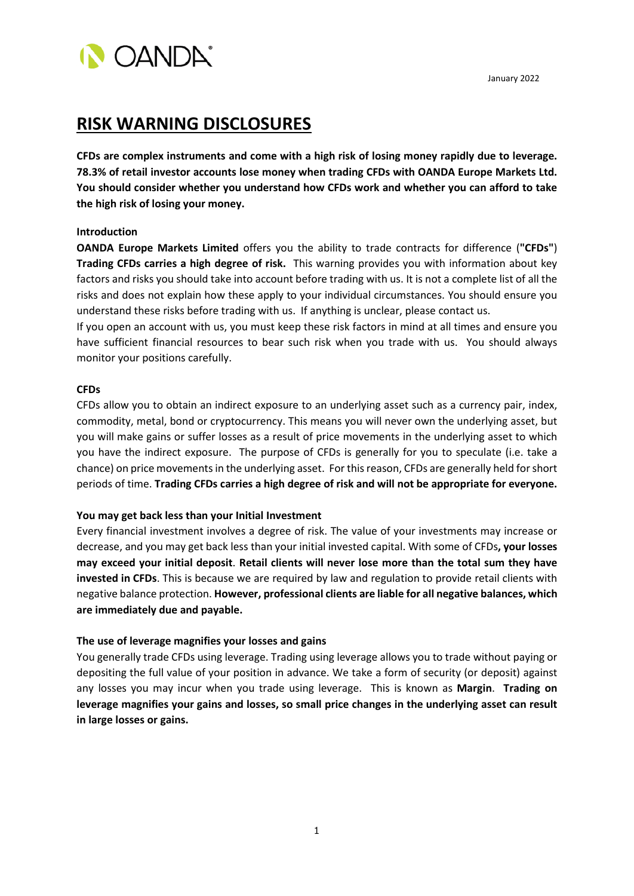**OANDA** 

# **RISK WARNING DISCLOSURES**

**CFDs are complex instruments and come with a high risk of losing money rapidly due to leverage. 78.3% of retail investor accounts lose money when trading CFDs with OANDA Europe Markets Ltd. You should consider whether you understand how CFDs work and whether you can afford to take the high risk of losing your money.**

## **Introduction**

**OANDA Europe Markets Limited** offers you the ability to trade contracts for difference (**"CFDs"**) **Trading CFDs carries a high degree of risk.** This warning provides you with information about key factors and risks you should take into account before trading with us. It is not a complete list of all the risks and does not explain how these apply to your individual circumstances. You should ensure you understand these risks before trading with us. If anything is unclear, pleas[e contact us.](https://www.oanda.com/resources/about/contact/)

If you open an account with us, you must keep these risk factors in mind at all times and ensure you have sufficient financial resources to bear such risk when you trade with us. You should always monitor your positions carefully.

## **CFDs**

CFDs allow you to obtain an indirect exposure to an underlying asset such as a currency pair, index, commodity, metal, bond or cryptocurrency. This means you will never own the underlying asset, but you will make gains or suffer losses as a result of price movements in the underlying asset to which you have the indirect exposure. The purpose of CFDs is generally for you to speculate (i.e. take a chance) on price movements in the underlying asset. For this reason, CFDs are generally held for short periods of time. **Trading CFDs carries a high degree of risk and will not be appropriate for everyone.**

# **You may get back less than your Initial Investment**

Every financial investment involves a degree of risk. The value of your investments may increase or decrease, and you may get back less than your initial invested capital. With some of CFDs**, your losses may exceed your initial deposit**. **Retail clients will never lose more than the total sum they have invested in CFDs**. This is because we are required by law and regulation to provide retail clients with negative balance protection. **However, professional clients are liable for all negative balances, which are immediately due and payable.** 

## **The use of leverage magnifies your losses and gains**

You generally trade CFDs using leverage. Trading using leverage allows you to trade without paying or depositing the full value of your position in advance. We take a form of security (or deposit) against any losses you may incur when you trade using leverage. This is known as **Margin**. **Trading on leverage magnifies your gains and losses, so small price changes in the underlying asset can result in large losses or gains.**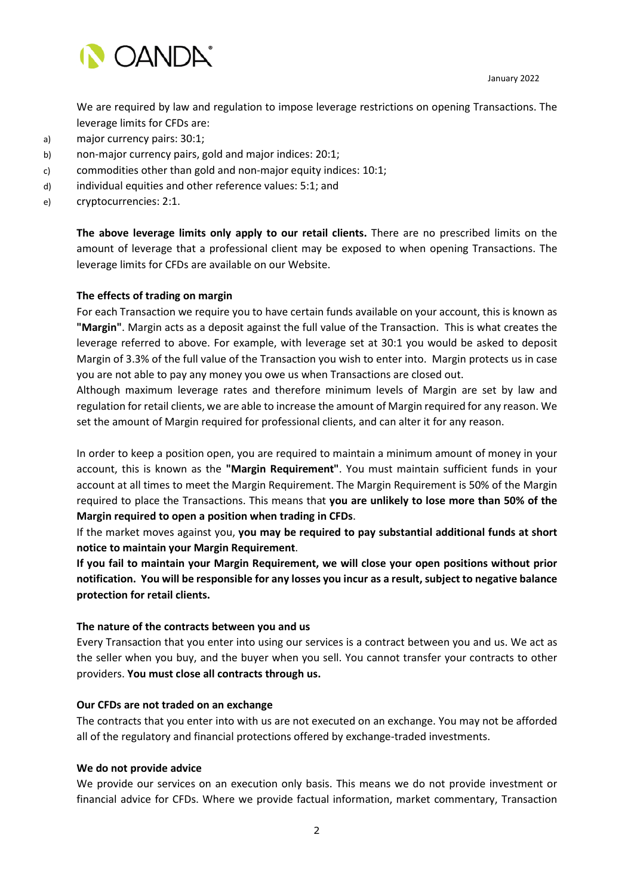

We are required by law and regulation to impose leverage restrictions on opening Transactions. The leverage limits for CFDs are:

- a) major currency pairs: 30:1;
- b) non-major currency pairs, gold and major indices: 20:1;
- c) commodities other than gold and non-major equity indices: 10:1;
- d) individual equities and other reference values: 5:1; and
- e) cryptocurrencies: 2:1.

**The above leverage limits only apply to our retail clients.** There are no prescribed limits on the amount of leverage that a professional client may be exposed to when opening Transactions. The leverage limits for CFDs are available on our Website.

## **The effects of trading on margin**

For each Transaction we require you to have certain funds available on your account, this is known as **"Margin"**. Margin acts as a deposit against the full value of the Transaction. This is what creates the leverage referred to above. For example, with leverage set at 30:1 you would be asked to deposit Margin of 3.3% of the full value of the Transaction you wish to enter into. Margin protects us in case you are not able to pay any money you owe us when Transactions are closed out.

Although maximum leverage rates and therefore minimum levels of Margin are set by law and regulation for retail clients, we are able to increase the amount of Margin required for any reason. We set the amount of Margin required for professional clients, and can alter it for any reason.

In order to keep a position open, you are required to maintain a minimum amount of money in your account, this is known as the **"Margin Requirement"**. You must maintain sufficient funds in your account at all times to meet the Margin Requirement. The Margin Requirement is 50% of the Margin required to place the Transactions. This means that **you are unlikely to lose more than 50% of the Margin required to open a position when trading in CFDs**.

If the market moves against you, **you may be required to pay substantial additional funds at short notice to maintain your Margin Requirement**.

**If you fail to maintain your Margin Requirement, we will close your open positions without prior notification. You will be responsible for any losses you incur as a result, subject to negative balance protection for retail clients.** 

#### **The nature of the contracts between you and us**

Every Transaction that you enter into using our services is a contract between you and us. We act as the seller when you buy, and the buyer when you sell. You cannot transfer your contracts to other providers. **You must close all contracts through us.**

## **Our CFDs are not traded on an exchange**

The contracts that you enter into with us are not executed on an exchange. You may not be afforded all of the regulatory and financial protections offered by exchange-traded investments.

## **We do not provide advice**

We provide our services on an execution only basis. This means we do not provide investment or financial advice for CFDs. Where we provide factual information, market commentary, Transaction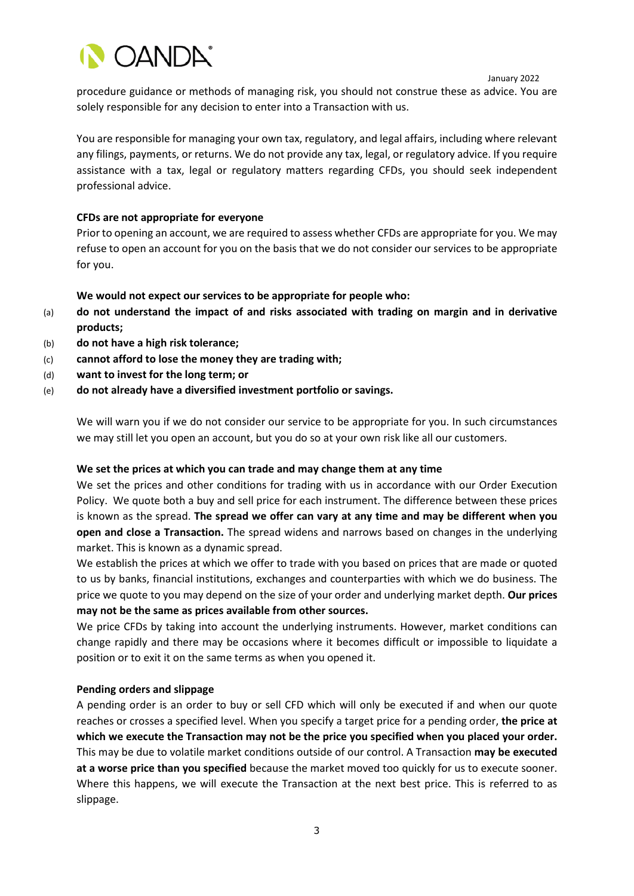

procedure guidance or methods of managing risk, you should not construe these as advice. You are solely responsible for any decision to enter into a Transaction with us.

You are responsible for managing your own tax, regulatory, and legal affairs, including where relevant any filings, payments, or returns. We do not provide any tax, legal, or regulatory advice. If you require assistance with a tax, legal or regulatory matters regarding CFDs, you should seek independent professional advice.

## **CFDs are not appropriate for everyone**

Prior to opening an account, we are required to assess whether CFDs are appropriate for you. We may refuse to open an account for you on the basis that we do not consider our services to be appropriate for you.

## **We would not expect our services to be appropriate for people who:**

- (a) **do not understand the impact of and risks associated with trading on margin and in derivative products;**
- (b) **do not have a high risk tolerance;**
- (c) **cannot afford to lose the money they are trading with;**
- (d) **want to invest for the long term; or**
- (e) **do not already have a diversified investment portfolio or savings.**

We will warn you if we do not consider our service to be appropriate for you. In such circumstances we may still let you open an account, but you do so at your own risk like all our customers.

## **We set the prices at which you can trade and may change them at any time**

We set the prices and other conditions for trading with us in accordance with our Order Execution Policy. We quote both a buy and sell price for each instrument. The difference between these prices is known as the spread. **The spread we offer can vary at any time and may be different when you open and close a Transaction.** The spread widens and narrows based on changes in the underlying market. This is known as a dynamic spread.

We establish the prices at which we offer to trade with you based on prices that are made or quoted to us by banks, financial institutions, exchanges and counterparties with which we do business. The price we quote to you may depend on the size of your order and underlying market depth. **Our prices may not be the same as prices available from other sources.**

We price CFDs by taking into account the underlying instruments. However, market conditions can change rapidly and there may be occasions where it becomes difficult or impossible to liquidate a position or to exit it on the same terms as when you opened it.

## **Pending orders and slippage**

A pending order is an order to buy or sell CFD which will only be executed if and when our quote reaches or crosses a specified level. When you specify a target price for a pending order, **the price at which we execute the Transaction may not be the price you specified when you placed your order.** This may be due to volatile market conditions outside of our control. A Transaction **may be executed at a worse price than you specified** because the market moved too quickly for us to execute sooner. Where this happens, we will execute the Transaction at the next best price. This is referred to as slippage.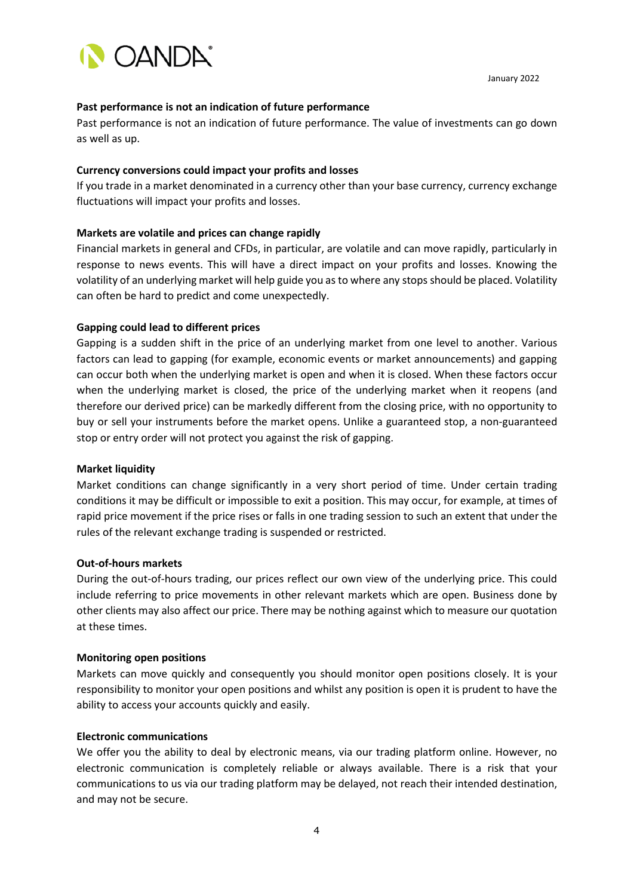

## **Past performance is not an indication of future performance**

Past performance is not an indication of future performance. The value of investments can go down as well as up.

## **Currency conversions could impact your profits and losses**

If you trade in a market denominated in a currency other than your base currency, currency exchange fluctuations will impact your profits and losses.

# **Markets are volatile and prices can change rapidly**

Financial markets in general and CFDs, in particular, are volatile and can move rapidly, particularly in response to news events. This will have a direct impact on your profits and losses. Knowing the volatility of an underlying market will help guide you as to where any stops should be placed. Volatility can often be hard to predict and come unexpectedly.

# **Gapping could lead to different prices**

Gapping is a sudden shift in the price of an underlying market from one level to another. Various factors can lead to gapping (for example, economic events or market announcements) and gapping can occur both when the underlying market is open and when it is closed. When these factors occur when the underlying market is closed, the price of the underlying market when it reopens (and therefore our derived price) can be markedly different from the closing price, with no opportunity to buy or sell your instruments before the market opens. Unlike a guaranteed stop, a non-guaranteed stop or entry order will not protect you against the risk of gapping.

# **Market liquidity**

Market conditions can change significantly in a very short period of time. Under certain trading conditions it may be difficult or impossible to exit a position. This may occur, for example, at times of rapid price movement if the price rises or falls in one trading session to such an extent that under the rules of the relevant exchange trading is suspended or restricted.

## **Out-of-hours markets**

During the out-of-hours trading, our prices reflect our own view of the underlying price. This could include referring to price movements in other relevant markets which are open. Business done by other clients may also affect our price. There may be nothing against which to measure our quotation at these times.

## **Monitoring open positions**

Markets can move quickly and consequently you should monitor open positions closely. It is your responsibility to monitor your open positions and whilst any position is open it is prudent to have the ability to access your accounts quickly and easily.

## **Electronic communications**

We offer you the ability to deal by electronic means, via our trading platform online. However, no electronic communication is completely reliable or always available. There is a risk that your communications to us via our trading platform may be delayed, not reach their intended destination, and may not be secure.